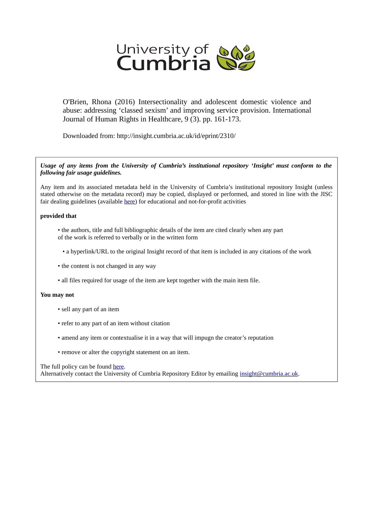

O'Brien, Rhona (2016) Intersectionality and adolescent domestic violence and abuse: addressing 'classed sexism' and improving service provision. International Journal of Human Rights in Healthcare, 9 (3). pp. 161-173.

Downloaded from: http://insight.cumbria.ac.uk/id/eprint/2310/

## *Usage of any items from the University of Cumbria's institutional repository 'Insight' must conform to the following fair usage guidelines.*

Any item and its associated metadata held in the University of Cumbria's institutional repository Insight (unless stated otherwise on the metadata record) may be copied, displayed or performed, and stored in line with the JISC fair dealing guidelines (available [here\)](http://www.ukoln.ac.uk/services/elib/papers/pa/fair/) for educational and not-for-profit activities

## **provided that**

- the authors, title and full bibliographic details of the item are cited clearly when any part of the work is referred to verbally or in the written form
	- a hyperlink/URL to the original Insight record of that item is included in any citations of the work
- the content is not changed in any way
- all files required for usage of the item are kept together with the main item file.

## **You may not**

- sell any part of an item
- refer to any part of an item without citation
- amend any item or contextualise it in a way that will impugn the creator's reputation
- remove or alter the copyright statement on an item.

## The full policy can be found [here.](http://insight.cumbria.ac.uk/legal.html#section5)

Alternatively contact the University of Cumbria Repository Editor by emailing [insight@cumbria.ac.uk.](mailto:insight@cumbria.ac.uk)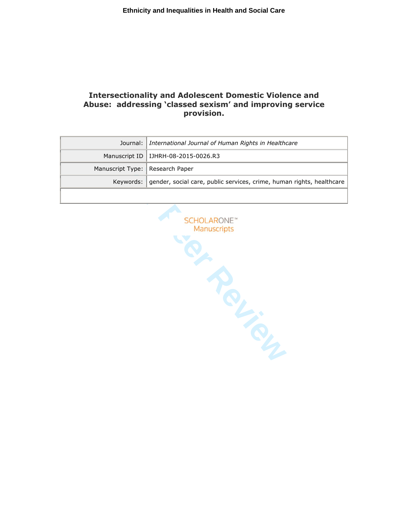## **Intersectionality and Adolescent Domestic Violence and Abuse: addressing 'classed sexism' and improving service provision.**

|                                   | Journal:   International Journal of Human Rights in Healthcare                    |  |  |
|-----------------------------------|-----------------------------------------------------------------------------------|--|--|
|                                   | Manuscript ID   IJHRH-08-2015-0026.R3                                             |  |  |
| Manuscript Type:   Research Paper |                                                                                   |  |  |
|                                   | Keywords:   gender, social care, public services, crime, human rights, healthcare |  |  |
|                                   |                                                                                   |  |  |

**SCHOLARONE**<sup>\*</sup><br>Manuscripts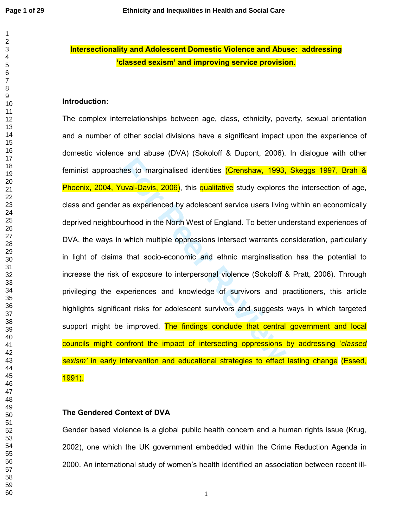# **Intersectionality and Adolescent Domestic Violence and Abuse: addressing 'classed sexism' and improving service provision.**

## **Introduction:**

nes to marginalised identities (Crenshaw, 1993, **Example 1998)**, this qualitative study explores as experienced by adolescent service users living urhood in the North West of England. To better university which multiple op The complex interrelationships between age, class, ethnicity, poverty, sexual orientation and a number of other social divisions have a significant impact upon the experience of domestic violence and abuse (DVA) (Sokoloff & Dupont, 2006). In dialogue with other feminist approaches to marginalised identities (Crenshaw, 1993, Skeggs 1997, Brah & Phoenix, 2004, Yuval-Davis, 2006), this qualitative study explores the intersection of age, class and gender as experienced by adolescent service users living within an economically deprived neighbourhood in the North West of England. To better understand experiences of DVA, the ways in which multiple oppressions intersect warrants consideration, particularly in light of claims that socio-economic and ethnic marginalisation has the potential to increase the risk of exposure to interpersonal violence (Sokoloff & Pratt, 2006). Through privileging the experiences and knowledge of survivors and practitioners, this article highlights significant risks for adolescent survivors and suggests ways in which targeted support might be improved. The findings conclude that central government and local councils might confront the impact of intersecting oppressions by addressing '*classed sexism'* in early intervention and educational strategies to effect lasting change (Essed, 1991).

## **The Gendered Context of DVA**

Gender based violence is a global public health concern and a human rights issue (Krug, 2002), one which the UK government embedded within the Crime Reduction Agenda in 2000. An international study of women's health identified an association between recent ill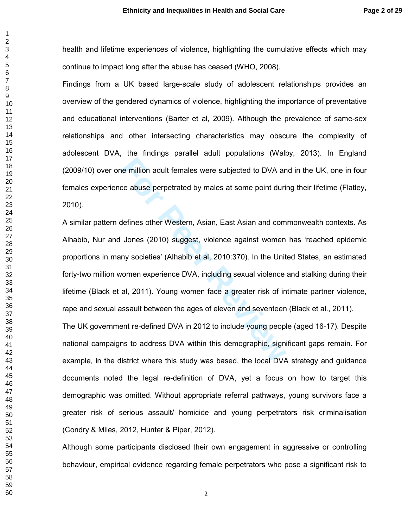health and lifetime experiences of violence, highlighting the cumulative effects which may continue to impact long after the abuse has ceased (WHO, 2008).

Findings from a UK based large-scale study of adolescent relationships provides an overview of the gendered dynamics of violence, highlighting the importance of preventative and educational interventions (Barter et al, 2009). Although the prevalence of same-sex relationships and other intersecting characteristics may obscure the complexity of adolescent DVA, the findings parallel adult populations (Walby, 2013). In England (2009/10) over one million adult females were subjected to DVA and in the UK, one in four females experience abuse perpetrated by males at some point during their lifetime (Flatley, 2010).

Formal Computer and the matter subjected to DVA and<br>
the abuse perpetrated by males at some point durin<br>
defines other Western, Asian, East Asian and com<br>
Jones (2010) suggest, violence against women<br>
ny societies' (Alhabi A similar pattern defines other Western, Asian, East Asian and commonwealth contexts. As Alhabib, Nur and Jones (2010) suggest, violence against women has 'reached epidemic proportions in many societies' (Alhabib et al, 2010:370). In the United States, an estimated forty-two million women experience DVA, including sexual violence and stalking during their lifetime (Black et al, 2011). Young women face a greater risk of intimate partner violence, rape and sexual assault between the ages of eleven and seventeen (Black et al., 2011). The UK government re-defined DVA in 2012 to include young people (aged 16-17). Despite national campaigns to address DVA within this demographic, significant gaps remain. For example, in the district where this study was based, the local DVA strategy and guidance documents noted the legal re-definition of DVA, yet a focus on how to target this demographic was omitted. Without appropriate referral pathways, young survivors face a greater risk of serious assault/ homicide and young perpetrators risk criminalisation (Condry & Miles, 2012, Hunter & Piper, 2012).

Although some participants disclosed their own engagement in aggressive or controlling behaviour, empirical evidence regarding female perpetrators who pose a significant risk to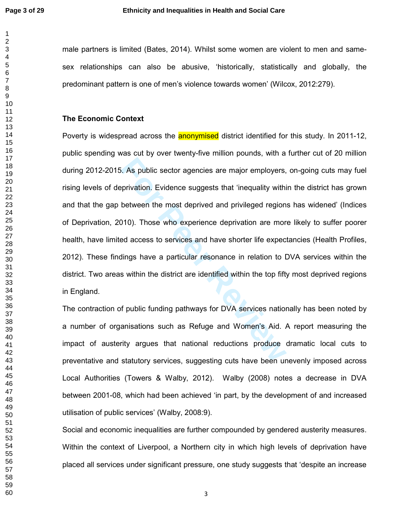male partners is limited (Bates, 2014). Whilst some women are violent to men and samesex relationships can also be abusive, 'historically, statistically and globally, the predominant pattern is one of men's violence towards women' (Wilcox, 2012:279).

## **The Economic Context**

**Follow Solution Symbol Sector agencies are major employers,**<br>**Experiment Between the most deprived and privileged region**<br>**P10).** Those who experience deprivation are mored access to services and have shorter life expecti Poverty is widespread across the **anonymised** district identified for this study. In 2011-12, public spending was cut by over twenty-five million pounds, with a further cut of 20 million during 2012-2015. As public sector agencies are major employers, on-going cuts may fuel rising levels of deprivation. Evidence suggests that 'inequality within the district has grown and that the gap between the most deprived and privileged regions has widened' (Indices of Deprivation, 2010). Those who experience deprivation are more likely to suffer poorer health, have limited access to services and have shorter life expectancies (Health Profiles, 2012). These findings have a particular resonance in relation to DVA services within the district. Two areas within the district are identified within the top fifty most deprived regions in England.

The contraction of public funding pathways for DVA services nationally has been noted by a number of organisations such as Refuge and Women's Aid. A report measuring the impact of austerity argues that national reductions produce dramatic local cuts to preventative and statutory services, suggesting cuts have been unevenly imposed across Local Authorities (Towers & Walby, 2012). Walby (2008) notes a decrease in DVA between 2001-08, which had been achieved 'in part, by the development of and increased utilisation of public services' (Walby, 2008:9).

Social and economic inequalities are further compounded by gendered austerity measures. Within the context of Liverpool, a Northern city in which high levels of deprivation have placed all services under significant pressure, one study suggests that 'despite an increase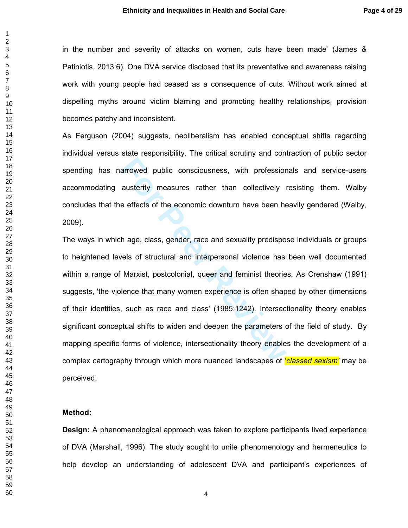in the number and severity of attacks on women, cuts have been made' (James & Patiniotis, 2013:6). One DVA service disclosed that its preventative and awareness raising work with young people had ceased as a consequence of cuts. Without work aimed at dispelling myths around victim blaming and promoting healthy relationships, provision becomes patchy and inconsistent.

As Ferguson (2004) suggests, neoliberalism has enabled conceptual shifts regarding individual versus state responsibility. The critical scrutiny and contraction of public sector spending has narrowed public consciousness, with professionals and service-users accommodating austerity measures rather than collectively resisting them. Walby concludes that the effects of the economic downturn have been heavily gendered (Walby, 2009).

arrowed public consciousness, with profession<br>austerity measures rather than collectively is<br>e effects of the economic downturn have been he<br>h age, class, gender, race and sexuality predispo<br>vels of structural and interper The ways in which age, class, gender, race and sexuality predispose individuals or groups to heightened levels of structural and interpersonal violence has been well documented within a range of Marxist, postcolonial, queer and feminist theories. As Crenshaw (1991) suggests, 'the violence that many women experience is often shaped by other dimensions of their identities, such as race and class' (1985:1242). Intersectionality theory enables significant conceptual shifts to widen and deepen the parameters of the field of study. By mapping specific forms of violence, intersectionality theory enables the development of a complex cartography through which more nuanced landscapes of '*classed sexism'* may be perceived.

#### **Method:**

**Design:** A phenomenological approach was taken to explore participants lived experience of DVA (Marshall, 1996). The study sought to unite phenomenology and hermeneutics to help develop an understanding of adolescent DVA and participant's experiences of

 $\mathbf{1}$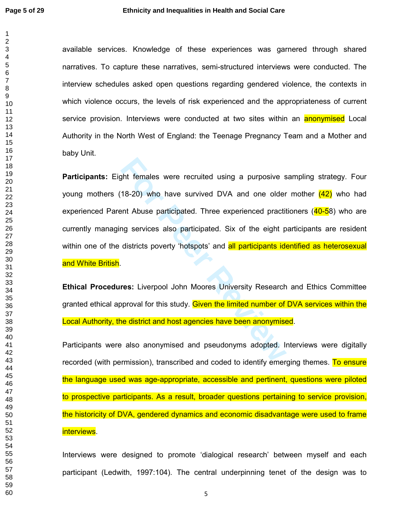available services. Knowledge of these experiences was garnered through shared narratives. To capture these narratives, semi-structured interviews were conducted. The interview schedules asked open questions regarding gendered violence, the contexts in which violence occurs, the levels of risk experienced and the appropriateness of current service provision. Interviews were conducted at two sites within an **anonymised** Local Authority in the North West of England: the Teenage Pregnancy Team and a Mother and baby Unit.

**Formal Starf Starf Ending Starf Starf Starf Starf Starf Starf Starf Abuse participated. Three experienced practiting services also participated. Six of the eight p<br>districts poverty 'hotspots' and <b>all participants identi Participants:** Eight females were recruited using a purposive sampling strategy. Four young mothers (18-20) who have survived DVA and one older mother  $(42)$  who had experienced Parent Abuse participated. Three experienced practitioners (40-58) who are currently managing services also participated. Six of the eight participants are resident within one of the districts poverty 'hotspots' and all participants identified as heterosexual and White British.

**Ethical Procedures:** Liverpool John Moores University Research and Ethics Committee granted ethical approval for this study. Given the limited number of DVA services within the Local Authority, the district and host agencies have been anonymised.

Participants were also anonymised and pseudonyms adopted. Interviews were digitally recorded (with permission), transcribed and coded to identify emerging themes. To ensure the language used was age-appropriate, accessible and pertinent, questions were piloted to prospective participants. As a result, broader questions pertaining to service provision, the historicity of DVA, gendered dynamics and economic disadvantage were used to frame interviews.

Interviews were designed to promote 'dialogical research' between myself and each participant (Ledwith, 1997:104). The central underpinning tenet of the design was to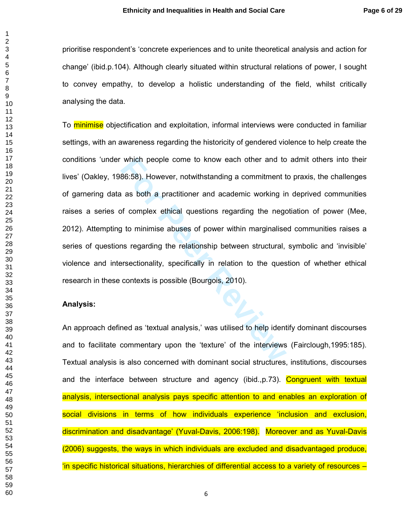prioritise respondent's 'concrete experiences and to unite theoretical analysis and action for change' (ibid.p.104). Although clearly situated within structural relations of power, I sought to convey empathy, to develop a holistic understanding of the field, whilst critically analysing the data.

which people come to know each other and to<br>86:58). However, notwithstanding a commitment t<br>as both a practitioner and academic working in<br>of complex ethical questions regarding the nego<br>to minimise abuses of power within To minimise objectification and exploitation, informal interviews were conducted in familiar settings, with an awareness regarding the historicity of gendered violence to help create the conditions 'under which people come to know each other and to admit others into their lives' (Oakley, 1986:58). However, notwithstanding a commitment to praxis, the challenges of garnering data as both a practitioner and academic working in deprived communities raises a series of complex ethical questions regarding the negotiation of power (Mee, 2012). Attempting to minimise abuses of power within marginalised communities raises a series of questions regarding the relationship between structural, symbolic and 'invisible' violence and intersectionality, specifically in relation to the question of whether ethical research in these contexts is possible (Bourgois, 2010).

## **Analysis:**

An approach defined as 'textual analysis,' was utilised to help identify dominant discourses and to facilitate commentary upon the 'texture' of the interviews (Fairclough,1995:185). Textual analysis is also concerned with dominant social structures, institutions, discourses and the interface between structure and agency (ibid.,p.73). Congruent with textual analysis, intersectional analysis pays specific attention to and enables an exploration of social divisions in terms of how individuals experience 'inclusion and exclusion, discrimination and disadvantage' (Yuval-Davis, 2006:198). Moreover and as Yuval-Davis (2006) suggests, the ways in which individuals are excluded and disadvantaged produce, 'in specific historical situations, hierarchies of differential access to a variety of resources –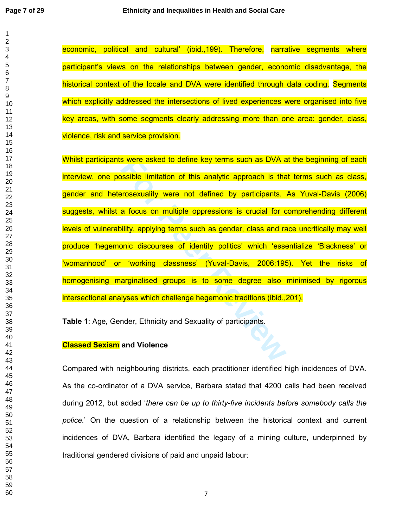economic, political and cultural' (ibid.,199). Therefore, narrative segments where participant's views on the relationships between gender, economic disadvantage, the historical context of the locale and DVA were identified through data coding. Segments which explicitly addressed the intersections of lived experiences were organised into five key areas, with some segments clearly addressing more than one area: gender, class, violence, risk and service provision.

**Formal Sysum Sysum Sysum Sysum Sysum Sysum Sysum Sysum Sysum Sysum Sysum Sysum Sysum Sysum Sysum Sysum Sysum Sysum Sysum Sysum Sysum Sysum Sysum Sysum Sysum Sysum Sysum Sysum Sysum Sysum Sysum Sysum Sysum Sysum Sysum Sysu** Whilst participants were asked to define key terms such as DVA at the beginning of each interview, one possible limitation of this analytic approach is that terms such as class, gender and heterosexuality were not defined by participants. As Yuval-Davis (2006) suggests, whilst a focus on multiple oppressions is crucial for comprehending different levels of vulnerability, applying terms such as gender, class and race uncritically may well produce 'hegemonic discourses of identity politics' which 'essentialize 'Blackness' or 'womanhood' or 'working classness' (Yuval-Davis, 2006:195). Yet the risks of homogenising marginalised groups is to some degree also minimised by rigorous intersectional analyses which challenge hegemonic traditions (ibid.,201).

**Table 1**: Age, Gender, Ethnicity and Sexuality of participants.

## **Classed Sexism and Violence**

Compared with neighbouring districts, each practitioner identified high incidences of DVA. As the co-ordinator of a DVA service, Barbara stated that 4200 calls had been received during 2012, but added '*there can be up to thirty-five incidents before somebody calls the police*.' On the question of a relationship between the historical context and current incidences of DVA, Barbara identified the legacy of a mining culture, underpinned by traditional gendered divisions of paid and unpaid labour: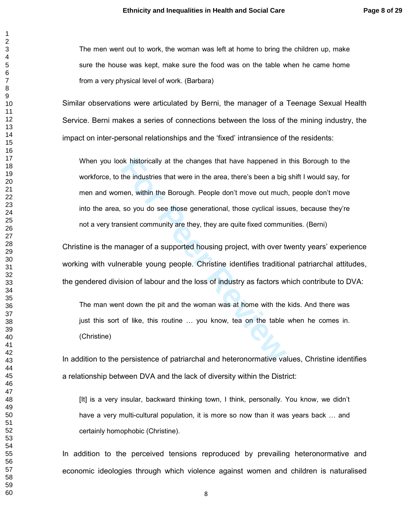The men went out to work, the woman was left at home to bring the children up, make sure the house was kept, make sure the food was on the table when he came home from a very physical level of work. (Barbara)

Similar observations were articulated by Berni, the manager of a Teenage Sexual Health Service. Berni makes a series of connections between the loss of the mining industry, the impact on inter-personal relationships and the 'fixed' intransience of the residents:

bk historically at the changes that have happened in<br>the industries that were in the area, there's been a big<br>nen, within the Borough. People don't move out much<br>so you do see those generational, those cyclical issue<br>nsien When you look historically at the changes that have happened in this Borough to the workforce, to the industries that were in the area, there's been a big shift I would say, for men and women, within the Borough. People don't move out much, people don't move into the area, so you do see those generational, those cyclical issues, because they're not a very transient community are they, they are quite fixed communities. (Berni)

Christine is the manager of a supported housing project, with over twenty years' experience working with vulnerable young people. Christine identifies traditional patriarchal attitudes, the gendered division of labour and the loss of industry as factors which contribute to DVA:

The man went down the pit and the woman was at home with the kids. And there was just this sort of like, this routine ... you know, tea on the table when he comes in. (Christine)

In addition to the persistence of patriarchal and heteronormative values, Christine identifies a relationship between DVA and the lack of diversity within the District:

[It] is a very insular, backward thinking town, I think, personally. You know, we didn't have a very multi-cultural population, it is more so now than it was years back  $\ldots$  and certainly homophobic (Christine).

In addition to the perceived tensions reproduced by prevailing heteronormative and economic ideologies through which violence against women and children is naturalised

 $\mathbf{1}$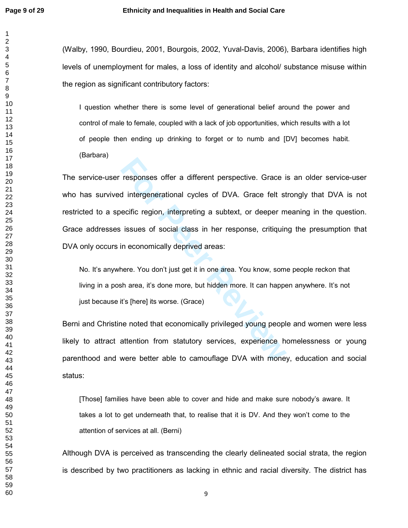(Walby, 1990, Bourdieu, 2001, Bourgois, 2002, Yuval-Davis, 2006), Barbara identifies high levels of unemployment for males, a loss of identity and alcohol/ substance misuse within the region as significant contributory factors:

I question whether there is some level of generational belief around the power and control of male to female, coupled with a lack of job opportunities, which results with a lot of people then ending up drinking to forget or to numb and [DV] becomes habit. (Barbara)

responses offer a different perspective. Grace in different different perspective. Grace felt stecific region, interpreting a subtext, or deeper m issues of social class in her response, critiquing in economically deprived The service-user responses offer a different perspective. Grace is an older service-user who has survived intergenerational cycles of DVA. Grace felt strongly that DVA is not restricted to a specific region, interpreting a subtext, or deeper meaning in the question. Grace addresses issues of social class in her response, critiquing the presumption that DVA only occurs in economically deprived areas:

No. It's anywhere. You don't just get it in one area. You know, some people reckon that living in a posh area, it's done more, but hidden more. It can happen anywhere. It's not just because it's [here] its worse. (Grace)

Berni and Christine noted that economically privileged young people and women were less likely to attract attention from statutory services, experience homelessness or young parenthood and were better able to camouflage DVA with money, education and social status:

[Those] families have been able to cover and hide and make sure nobody's aware. It takes a lot to get underneath that, to realise that it is DV. And they won't come to the attention of services at all. (Berni)

Although DVA is perceived as transcending the clearly delineated social strata, the region is described by two practitioners as lacking in ethnic and racial diversity. The district has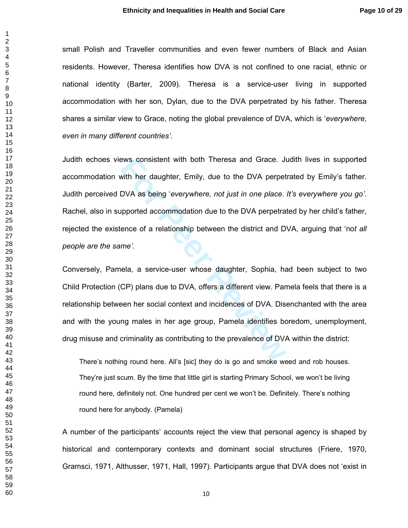small Polish and Traveller communities and even fewer numbers of Black and Asian residents. However, Theresa identifies how DVA is not confined to one racial, ethnic or national identity (Barter, 2009). Theresa is a service-user living in supported accommodation with her son, Dylan, due to the DVA perpetrated by his father. Theresa shares a similar view to Grace, noting the global prevalence of DVA, which is '*everywhere, even in many different countries'*.

ews consistent with both Theresa and Grace. Jumptisty with her daughter, Emily, due to the DVA perpet<br>DVA as being 'everywhere, not just in one place.<br>Ipported accommodation due to the DVA perpetral<br>ence of a relationship Judith echoes views consistent with both Theresa and Grace. Judith lives in supported accommodation with her daughter, Emily, due to the DVA perpetrated by Emily's father. Judith perceived DVA as being '*everywhere, not just in one place. It's everywhere you go'*. Rachel, also in supported accommodation due to the DVA perpetrated by her child's father, rejected the existence of a relationship between the district and DVA, arguing that 'no*t all people are the same'*.

Conversely, Pamela, a service-user whose daughter, Sophia, had been subject to two Child Protection (CP) plans due to DVA, offers a different view. Pamela feels that there is a relationship between her social context and incidences of DVA. Disenchanted with the area and with the young males in her age group, Pamela identifies boredom, unemployment, drug misuse and criminality as contributing to the prevalence of DVA within the district:

There's nothing round here. All's [sic] they do is go and smoke weed and rob houses. They're just scum. By the time that little girl is starting Primary School, we won't be living round here, definitely not. One hundred per cent we won't be. Definitely. There's nothing round here for anybody. (Pamela)

A number of the participants' accounts reject the view that personal agency is shaped by historical and contemporary contexts and dominant social structures (Friere, 1970, Gramsci, 1971, Althusser, 1971, Hall, 1997). Participants argue that DVA does not 'exist in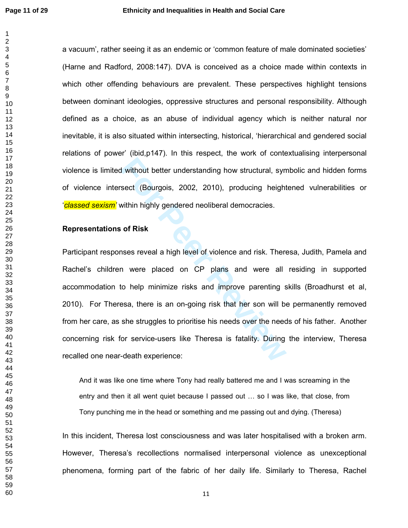a vacuum', rather seeing it as an endemic or 'common feature of male dominated societies' (Harne and Radford, 2008:147). DVA is conceived as a choice made within contexts in which other offending behaviours are prevalent. These perspectives highlight tensions between dominant ideologies, oppressive structures and personal responsibility. Although defined as a choice, as an abuse of individual agency which is neither natural nor inevitable, it is also situated within intersecting, historical, 'hierarchical and gendered social relations of power' (ibid,p147). In this respect, the work of contextualising interpersonal violence is limited without better understanding how structural, symbolic and hidden forms of violence intersect (Bourgois, 2002, 2010), producing heightened vulnerabilities or '*classed sexism'* within highly gendered neoliberal democracies.

## **Representations of Risk**

I without better understanding how structural, syn<br>sect (Bourgois, 2002, 2010), producing height<br>within highly gendered neoliberal democracies.<br>**For Risk**<br>ses reveal a high level of violence and risk. Then<br>n were placed on Participant responses reveal a high level of violence and risk. Theresa, Judith, Pamela and Rachel's children were placed on CP plans and were all residing in supported accommodation to help minimize risks and improve parenting skills (Broadhurst et al, 2010). For Theresa, there is an on-going risk that her son will be permanently removed from her care, as she struggles to prioritise his needs over the needs of his father. Another concerning risk for service-users like Theresa is fatality. During the interview, Theresa recalled one near-death experience:

And it was like one time where Tony had really battered me and I was screaming in the entry and then it all went quiet because I passed out ... so I was like, that close, from Tony punching me in the head or something and me passing out and dying. (Theresa)

In this incident, Theresa lost consciousness and was later hospitalised with a broken arm. However, Theresa's recollections normalised interpersonal violence as unexceptional phenomena, forming part of the fabric of her daily life. Similarly to Theresa, Rachel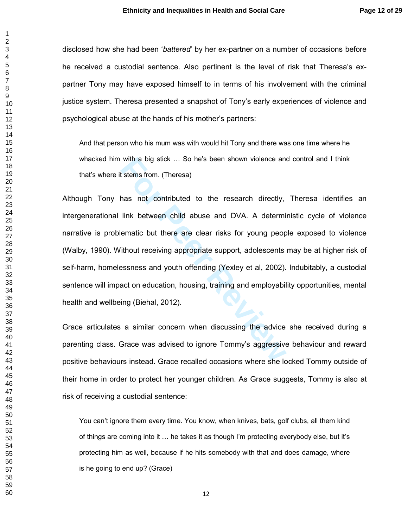disclosed how she had been '*battered*' by her ex-partner on a number of occasions before he received a custodial sentence. Also pertinent is the level of risk that Theresa's expartner Tony may have exposed himself to in terms of his involvement with the criminal justice system. Theresa presented a snapshot of Tony's early experiences of violence and psychological abuse at the hands of his mother's partners:

And that person who his mum was with would hit Tony and there was one time where he whacked him with a big stick ... So he's been shown violence and control and I think that's where it stems from. (Theresa)

with a big stick ... So he's been shown violence and<br>t stems from. (Theresa)<br>has not contributed to the research directly,<br>link between child abuse and DVA. A determi<br>ematic but there are clear risks for young peop<br>ithout Although Tony has not contributed to the research directly, Theresa identifies an intergenerational link between child abuse and DVA. A deterministic cycle of violence narrative is problematic but there are clear risks for young people exposed to violence (Walby, 1990). Without receiving appropriate support, adolescents may be at higher risk of self-harm, homelessness and youth offending (Yexley et al, 2002). Indubitably, a custodial sentence will impact on education, housing, training and employability opportunities, mental health and wellbeing (Biehal, 2012).

Grace articulates a similar concern when discussing the advice she received during a parenting class. Grace was advised to ignore Tommy's aggressive behaviour and reward positive behaviours instead. Grace recalled occasions where she locked Tommy outside of their home in order to protect her younger children. As Grace suggests, Tommy is also at risk of receiving a custodial sentence:

You can't ignore them every time. You know, when knives, bats, golf clubs, all them kind of things are coming into it ... he takes it as though I'm protecting everybody else, but it's protecting him as well, because if he hits somebody with that and does damage, where is he going to end up? (Grace)

 $\mathbf{1}$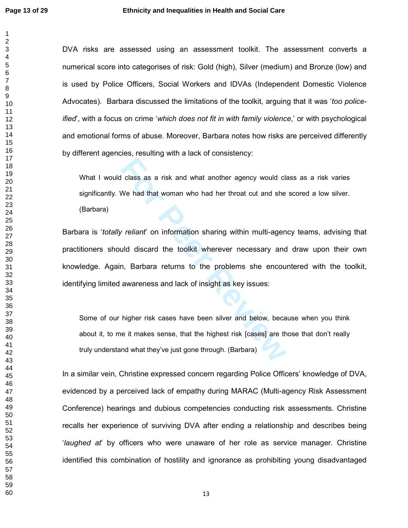$\mathbf{1}$  $\overline{2}$ 

DVA risks are assessed using an assessment toolkit. The assessment converts a numerical score into categorises of risk: Gold (high), Silver (medium) and Bronze (low) and is used by Police Officers, Social Workers and IDVAs (Independent Domestic Violence Advocates). Barbara discussed the limitations of the toolkit, arguing that it was '*too policeified*', with a focus on crime '*which does not fit in with family violence*,' or with psychological and emotional forms of abuse. Moreover, Barbara notes how risks are perceived differently by different agencies, resulting with a lack of consistency:

What I would class as a risk and what another agency would class as a risk varies significantly. We had that woman who had her throat cut and she scored a low silver. (Barbara)

I class as a risk and what another agency would class<br>We had that woman who had her throat cut and she<br>*For eliant* on information sharing within multi-agen<br>and discard the toolkit wherever necessary and<br>n, Barbara returns Barbara is '*totally reliant*' on information sharing within multi-agency teams, advising that practitioners should discard the toolkit wherever necessary and draw upon their own knowledge. Again, Barbara returns to the problems she encountered with the toolkit, identifying limited awareness and lack of insight as key issues:

Some of our higher risk cases have been silver and below, because when you think about it, to me it makes sense, that the highest risk [cases] are those that don't really truly understand what they've just gone through. (Barbara)

In a similar vein, Christine expressed concern regarding Police Officers' knowledge of DVA, evidenced by a perceived lack of empathy during MARAC (Multi-agency Risk Assessment Conference) hearings and dubious competencies conducting risk assessments. Christine recalls her experience of surviving DVA after ending a relationship and describes being '*laughed at*' by officers who were unaware of her role as service manager. Christine identified this combination of hostility and ignorance as prohibiting young disadvantaged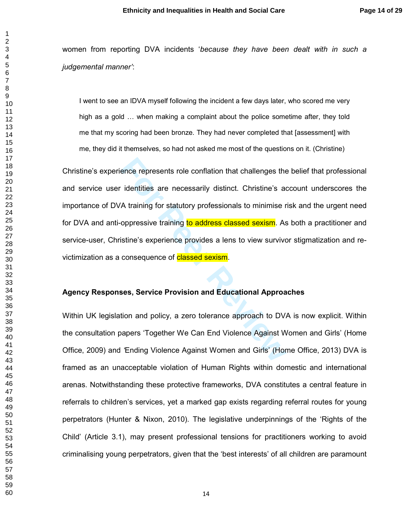women from reporting DVA incidents '*because they have been dealt with in such a judgemental manner'*:

I went to see an IDVA myself following the incident a few days later, who scored me very high as a gold  $\ldots$  when making a complaint about the police sometime after, they told me that my scoring had been bronze. They had never completed that [assessment] with me, they did it themselves, so had not asked me most of the questions on it. (Christine)

ence represents role conflation that challenges the<br>
identities are necessarily distinct. Christine's ac<br>
A training for statutory professionals to minimise r<br>
oppressive training to address classed sexism. As<br>
istine's ex Christine's experience represents role conflation that challenges the belief that professional and service user identities are necessarily distinct. Christine's account underscores the importance of DVA training for statutory professionals to minimise risk and the urgent need for DVA and anti-oppressive training to address classed sexism. As both a practitioner and service-user, Christine's experience provides a lens to view survivor stigmatization and revictimization as a consequence of **classed sexism**.

## **Agency Responses, Service Provision and Educational Approaches**

Within UK legislation and policy, a zero tolerance approach to DVA is now explicit. Within the consultation papers 'Together We Can End Violence Against Women and Girls' (Home Office, 2009) and *'*Ending Violence Against Women and Girls' (Home Office, 2013) DVA is framed as an unacceptable violation of Human Rights within domestic and international arenas. Notwithstanding these protective frameworks, DVA constitutes a central feature in referrals to children's services, yet a marked gap exists regarding referral routes for young perpetrators (Hunter & Nixon, 2010). The legislative underpinnings of the 'Rights of the Child' (Article 3.1), may present professional tensions for practitioners working to avoid criminalising young perpetrators, given that the 'best interests' of all children are paramount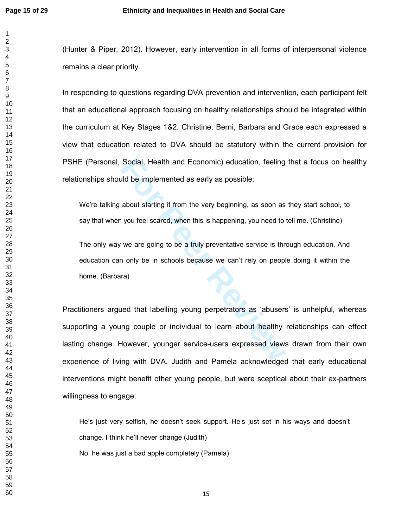(Hunter & Piper, 2012). However, early intervention in all forms of interpersonal violence remains a clear priority.

In responding to questions regarding DVA prevention and intervention, each participant felt that an educational approach focusing on healthy relationships should be integrated within the curriculum at Key Stages 1&2. Christine, Berni, Barbara and Grace each expressed a view that education related to DVA should be statutory within the current provision for PSHE (Personal, Social, Health and Economic) education, feeling that a focus on healthy relationships should be implemented as early as possible:

We're talking about starting it from the very beginning, as soon as they start school, to say that when you feel scared, when this is happening, you need to tell me. (Christine)

The only way we are going to be a truly preventative service is through education. And education can only be in schools because we can't rely on people doing it within the home. (Barbara)

Social, Health and Economic) education, feeling<br>
ald be implemented as early as possible:<br>
about starting it from the very beginning, as soon as<br>
you feel scared, when this is happening, you need to t<br>
you feel scared, whe Practitioners argued that labelling young perpetrators as 'abusers' is unhelpful, whereas supporting a young couple or individual to learn about healthy relationships can effect lasting change. However, younger service-users expressed views drawn from their own experience of living with DVA. Judith and Pamela acknowledged that early educational interventions might benefit other young people, but were sceptical about their ex-partners willingness to engage:

He's just very selfish, he doesn't seek support. He's just set in his ways and doesn't change. I think he'll never change (Judith)

No, he was just a bad apple completely (Pamela)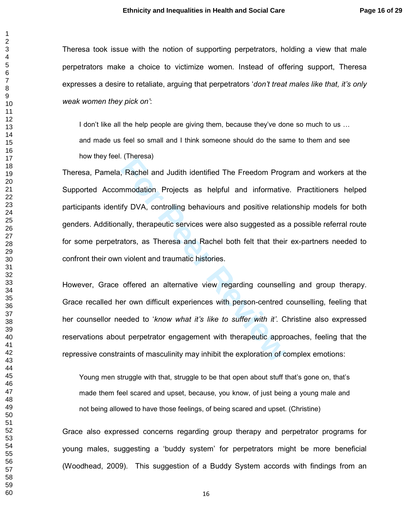Theresa took issue with the notion of supporting perpetrators, holding a view that male perpetrators make a choice to victimize women. Instead of offering support, Theresa expresses a desire to retaliate, arguing that perpetrators '*don't treat males like that, it's only weak women they pick on'*:

I don't like all the help people are giving them, because they've done so much to us ... and made us feel so small and I think someone should do the same to them and see how they feel. (Theresa)

Fraction Projects as helpful and informative<br>
fly DVA, controlling behaviours and positive relative projects as helpful and informative<br>
fly DVA, controlling behaviours and positive relative<br>
ally, therapeutic services wer Theresa, Pamela, Rachel and Judith identified The Freedom Program and workers at the Supported Accommodation Projects as helpful and informative. Practitioners helped participants identify DVA, controlling behaviours and positive relationship models for both genders. Additionally, therapeutic services were also suggested as a possible referral route for some perpetrators, as Theresa and Rachel both felt that their ex-partners needed to confront their own violent and traumatic histories.

However, Grace offered an alternative view regarding counselling and group therapy. Grace recalled her own difficult experiences with person-centred counselling, feeling that her counsellor needed to '*know what it's like to suffer with it'*. Christine also expressed reservations about perpetrator engagement with therapeutic approaches, feeling that the repressive constraints of masculinity may inhibit the exploration of complex emotions:

Young men struggle with that, struggle to be that open about stuff that's gone on, that's made them feel scared and upset, because, you know, of just being a young male and not being allowed to have those feelings, of being scared and upset. (Christine)

Grace also expressed concerns regarding group therapy and perpetrator programs for young males, suggesting a 'buddy system' for perpetrators might be more beneficial (Woodhead, 2009). This suggestion of a Buddy System accords with findings from an

 $\mathbf{1}$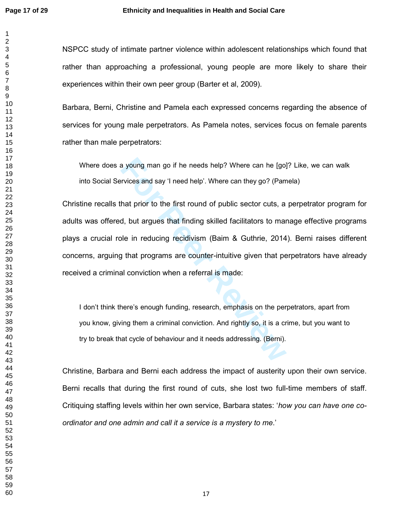NSPCC study of intimate partner violence within adolescent relationships which found that rather than approaching a professional, young people are more likely to share their experiences within their own peer group (Barter et al, 2009).

Barbara, Berni, Christine and Pamela each expressed concerns regarding the absence of services for young male perpetrators. As Pamela notes, services focus on female parents rather than male perpetrators:

Where does a young man go if he needs help? Where can he [go]? Like, we can walk into Social Services and say 'I need help'. Where can they go? (Pamela)

a young man go if he needs help? Where can he [go]<br>
Fryices and say 'I need help'. Where can they go? (Pam<br>
hat prior to the first round of public sector cuts, a<br>
d, but argues that finding skilled facilitators to mar<br>
ble Christine recalls that prior to the first round of public sector cuts, a perpetrator program for adults was offered, but argues that finding skilled facilitators to manage effective programs plays a crucial role in reducing recidivism (Baim & Guthrie, 2014). Berni raises different concerns, arguing that programs are counter-intuitive given that perpetrators have already received a criminal conviction when a referral is made:

I don't think there's enough funding, research, emphasis on the perpetrators, apart from you know, giving them a criminal conviction. And rightly so, it is a crime, but you want to try to break that cycle of behaviour and it needs addressing. (Berni).

Christine, Barbara and Berni each address the impact of austerity upon their own service. Berni recalls that during the first round of cuts, she lost two full-time members of staff. Critiquing staffing levels within her own service, Barbara states: '*how you can have one coordinator and one admin and call it a service is a mystery to me*.'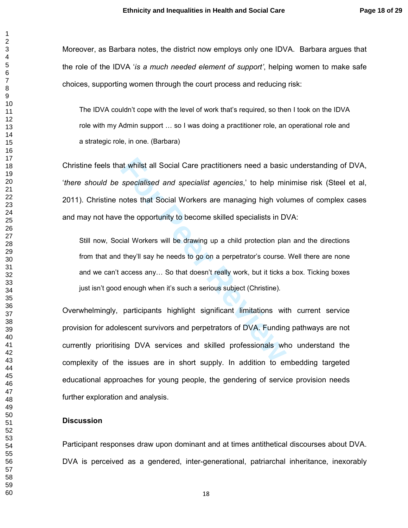Moreover, as Barbara notes, the district now employs only one IDVA. Barbara argues that the role of the IDVA '*is a much needed element of support'*, helping women to make safe choices, supporting women through the court process and reducing risk:

The IDVA couldn't cope with the level of work that's required, so then I took on the IDVA role with my Admin support ... so I was doing a practitioner role, an operational role and a strategic role, in one. (Barbara)

at whilst all Social Care practitioners need a basic<br>specialised and specialist agencies,' to help min<br>notes that Social Workers are managing high volu-<br>the opportunity to become skilled specialists in D'<br>is the opportunit Christine feels that whilst all Social Care practitioners need a basic understanding of DVA, '*there should be specialised and specialist agencies*,' to help minimise risk (Steel et al, 2011). Christine notes that Social Workers are managing high volumes of complex cases and may not have the opportunity to become skilled specialists in DVA:

Still now, Social Workers will be drawing up a child protection plan and the directions from that and they'll say he needs to go on a perpetrator's course. Well there are none and we can't access any... So that doesn't really work, but it ticks a box. Ticking boxes just isn't good enough when it's such a serious subject (Christine).

Overwhelmingly, participants highlight significant limitations with current service provision for adolescent survivors and perpetrators of DVA. Funding pathways are not currently prioritising DVA services and skilled professionals who understand the complexity of the issues are in short supply. In addition to embedding targeted educational approaches for young people, the gendering of service provision needs further exploration and analysis.

### **Discussion**

Participant responses draw upon dominant and at times antithetical discourses about DVA. DVA is perceived as a gendered, inter-generational, patriarchal inheritance, inexorably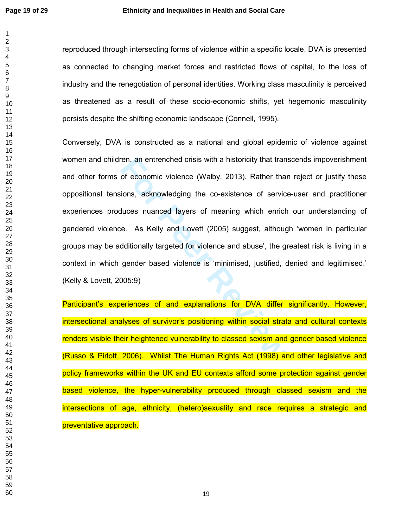reproduced through intersecting forms of violence within a specific locale. DVA is presented as connected to changing market forces and restricted flows of capital, to the loss of industry and the renegotiation of personal identities. Working class masculinity is perceived as threatened as a result of these socio-economic shifts, yet hegemonic masculinity persists despite the shifting economic landscape (Connell, 1995).

ren, an entrenched crisis with a historicity that tran<br>of economic violence (Walby, 2013). Rather tha<br>ions, acknowledging the co-existence of servic<br>duces nuanced layers of meaning which enrich<br>e. As Kelly and Lovett (2005 Conversely, DVA is constructed as a national and global epidemic of violence against women and children, an entrenched crisis with a historicity that transcends impoverishment and other forms of economic violence (Walby, 2013). Rather than reject or justify these oppositional tensions, acknowledging the co-existence of service-user and practitioner experiences produces nuanced layers of meaning which enrich our understanding of gendered violence. As Kelly and Lovett (2005) suggest, although 'women in particular groups may be additionally targeted for violence and abuse', the greatest risk is living in a context in which gender based violence is 'minimised, justified, denied and legitimised.' (Kelly & Lovett, 2005:9)

Participant's experiences of and explanations for DVA differ significantly. However, intersectional analyses of survivor's positioning within social strata and cultural contexts renders visible their heightened vulnerability to classed sexism and gender based violence (Russo & Pirlott, 2006). Whilst The Human Rights Act (1998) and other legislative and policy frameworks within the UK and EU contexts afford some protection against gender based violence, the hyper-vulnerability produced through classed sexism and the intersections of age, ethnicity, (hetero)sexuality and race requires a strategic and preventative approach.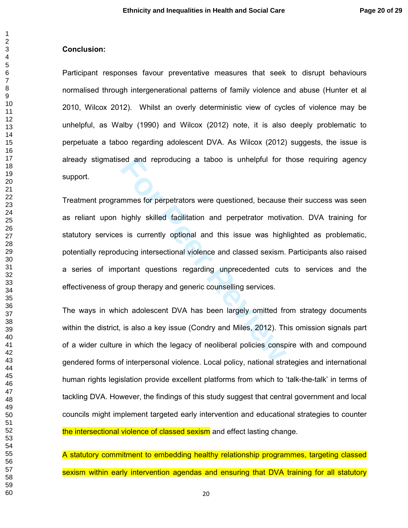## **Conclusion:**

Participant responses favour preventative measures that seek to disrupt behaviours normalised through intergenerational patterns of family violence and abuse (Hunter et al 2010, Wilcox 2012). Whilst an overly deterministic view of cycles of violence may be unhelpful, as Walby (1990) and Wilcox (2012) note, it is also deeply problematic to perpetuate a taboo regarding adolescent DVA. As Wilcox (2012) suggests, the issue is already stigmatised and reproducing a taboo is unhelpful for those requiring agency support.

red and reproducing a taboo is unhelpful for the and reproducing a taboo is unhelpful for the and mess for perpetrators were questioned, because highly skilled facilitation and perpetrator motives is currently optional and Treatment programmes for perpetrators were questioned, because their success was seen as reliant upon highly skilled facilitation and perpetrator motivation. DVA training for statutory services is currently optional and this issue was highlighted as problematic, potentially reproducing intersectional violence and classed sexism. Participants also raised a series of important questions regarding unprecedented cuts to services and the effectiveness of group therapy and generic counselling services.

The ways in which adolescent DVA has been largely omitted from strategy documents within the district, is also a key issue (Condry and Miles, 2012). This omission signals part of a wider culture in which the legacy of neoliberal policies conspire with and compound gendered forms of interpersonal violence. Local policy, national strategies and international human rights legislation provide excellent platforms from which to 'talk-the-talk' in terms of tackling DVA. However, the findings of this study suggest that central government and local councils might implement targeted early intervention and educational strategies to counter the intersectional violence of classed sexism and effect lasting change.

A statutory commitment to embedding healthy relationship programmes, targeting classed sexism within early intervention agendas and ensuring that DVA training for all statutory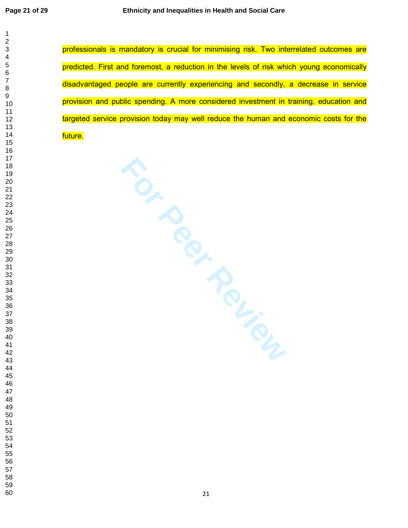professionals is mandatory is crucial for minimising risk. Two interrelated outcomes are predicted. First and foremost, a reduction in the levels of risk which young economically disadvantaged people are currently experiencing and secondly, a decrease in service provision and public spending. A more considered investment in training, education and targeted service provision today may well reduce the human and economic costs for the future.

**FOR PROLL**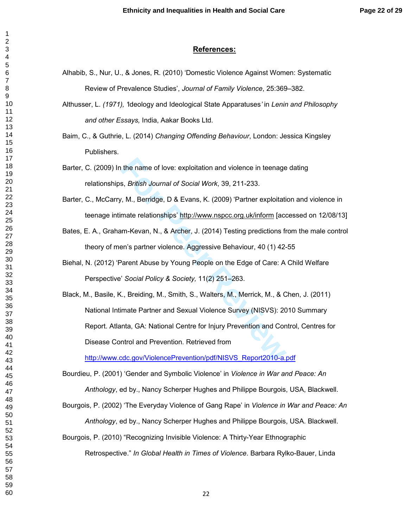## **References:**

- Alhabib, S., Nur, U., & Jones, R. (2010) 'Domestic Violence Against Women: Systematic Review of Prevalence Studies', *Journal of Family Violence*, 25:369–382.
- Althusser, L. *(1971), '*Ideology and Ideological State Apparatuses*'* in *Lenin and Philosophy and other Essays,* India, Aakar Books Ltd.
- Baim, C., & Guthrie, L. (2014) *Changing Offending Behaviour*, London: Jessica Kingsley Publishers.

Barter, C. (2009) In the name of love: exploitation and violence in teenage dating relationships, *British Journal of Social Work*, 39, 211-233.

- Barter, C., McCarry, M., Berridge, D & Evans, K. (2009) 'Partner exploitation and violence in teenage intimate relationships' http://www.nspcc.org.uk/inform [accessed on 12/08/13]
- Bates, E. A., Graham-Kevan, N., & Archer, J. (2014) Testing predictions from the male control theory of men's partner violence. Aggressive Behaviour, 40 (1) 42-55
- Biehal, N. (2012) 'Parent Abuse by Young People on the Edge of Care: A Child Welfare Perspective' *Social Policy & Society,* 11(2) 251–263.
- **For Peer Review** Black, M., Basile, K., Breiding, M., Smith, S., Walters, M., Merrick, M., & Chen, J. (2011) National Intimate Partner and Sexual Violence Survey (NISVS): 2010 Summary Report. Atlanta, GA: National Centre for Injury Prevention and Control, Centres for Disease Control and Prevention. Retrieved from

http://www.cdc.gov/ViolencePrevention/pdf/NISVS\_Report2010-a.pdf

Bourdieu, P. (2001) 'Gender and Symbolic Violence' in *Violence in War and Peace: An Anthology*, ed by., Nancy Scherper Hughes and Philippe Bourgois, USA, Blackwell.

Bourgois, P. (2002) 'The Everyday Violence of Gang Rape' in *Violence in War and Peace: An Anthology*, ed by., Nancy Scherper Hughes and Philippe Bourgois, USA. Blackwell.

Bourgois, P. (2010) "Recognizing Invisible Violence: A Thirty-Year Ethnographic Retrospective." *In Global Health in Times of Violence*. Barbara Rylko-Bauer, Linda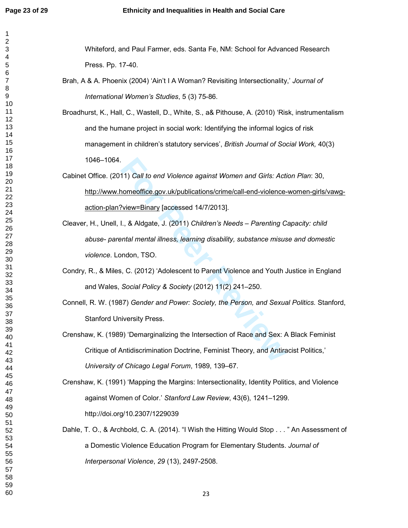$\mathbf{1}$  $\overline{2}$  $\overline{\mathbf{4}}$  $\,6$  $\overline{\mathbf{7}}$  $\bf 8$  $\boldsymbol{9}$ 

| $\mathbf{z}$<br>3 | Whiteford, and Paul Farmer, eds. Santa Fe, NM: School for Advanced Research                     |
|-------------------|-------------------------------------------------------------------------------------------------|
| 4                 |                                                                                                 |
| 5<br>6            | Press. Pp. 17-40.                                                                               |
| $\overline{7}$    | Brah, A & A. Phoenix (2004) 'Ain't I A Woman? Revisiting Intersectionality,' Journal of         |
| 8<br>9            | International Women's Studies, 5 (3) 75-86.                                                     |
| 10                |                                                                                                 |
| 11<br>12          | Broadhurst, K., Hall, C., Wastell, D., White, S., a& Pithouse, A. (2010) 'Risk, instrumentalism |
| 13                | and the humane project in social work: Identifying the informal logics of risk                  |
| 14<br>15          | management in children's statutory services', British Journal of Social Work, 40(3)             |
| 16<br>17          |                                                                                                 |
| 18                | 1046-1064.                                                                                      |
| 19                | Cabinet Office. (2011) Call to end Violence against Women and Girls: Action Plan: 30,           |
| 20<br>21          | http://www.homeoffice.gov.uk/publications/crime/call-end-violence-women-girls/vawg-             |
| 22<br>23          |                                                                                                 |
| 24                | action-plan?view=Binary [accessed 14/7/2013].                                                   |
| 25                | Cleaver, H., Unell, I., & Aldgate, J. (2011) Children's Needs - Parenting Capacity: child       |
| 26<br>27          |                                                                                                 |
| 28                | abuse- parental mental illness, learning disability, substance misuse and domestic              |
| 29<br>30          | violence. London, TSO.                                                                          |
| 31<br>32          | Condry, R., & Miles, C. (2012) 'Adolescent to Parent Violence and Youth Justice in England      |
| 33<br>34          | and Wales, Social Policy & Society (2012) 11(2) 241-250.                                        |
| 35                |                                                                                                 |
| 36                | Connell, R. W. (1987) Gender and Power: Society, the Person, and Sexual Politics. Stanford,     |
| 37<br>38          | <b>Stanford University Press.</b>                                                               |
| 39                |                                                                                                 |
| 40                | Crenshaw, K. (1989) 'Demarginalizing the Intersection of Race and Sex: A Black Feminist         |
| 41<br>42          | Critique of Antidiscrimination Doctrine, Feminist Theory, and Antiracist Politics,'             |
| 43<br>44          | University of Chicago Legal Forum, 1989, 139-67.                                                |
| 45<br>46          | Crenshaw, K. (1991) 'Mapping the Margins: Intersectionality, Identity Politics, and Violence    |
| 47                |                                                                                                 |
| 48                | against Women of Color.' Stanford Law Review, 43(6), 1241-1299.                                 |
| 49<br>50          | http://doi.org/10.2307/1229039                                                                  |
| 51<br>52          | Dahle, T. O., & Archbold, C. A. (2014). "I Wish the Hitting Would Stop " An Assessment of       |
| 53                |                                                                                                 |
| 54<br>55          | a Domestic Violence Education Program for Elementary Students. Journal of                       |
| 56                | Interpersonal Violence, 29 (13), 2497-2508.                                                     |
| 57                |                                                                                                 |
| 58<br>50          |                                                                                                 |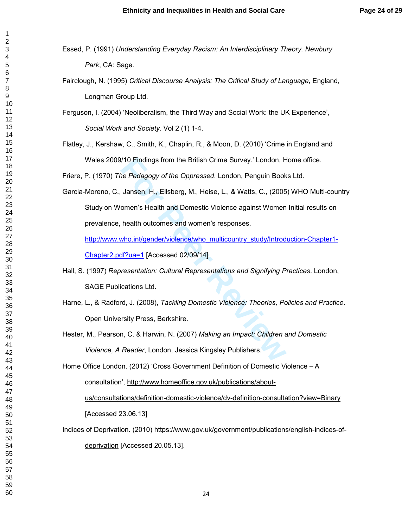- Essed, P. (1991) *Understanding Everyday Racism: An Interdisciplinary Theory. Newbury Park*, CA: Sage.
- Fairclough, N. (1995) *Critical Discourse Analysis: The Critical Study of Language*, England, Longman Group Ltd.
- Ferguson, I. (2004) 'Neoliberalism, the Third Way and Social Work: the UK Experience', *Social Work and Society,* Vol 2 (1) 1-4.

Flatley, J., Kershaw, C., Smith, K., Chaplin, R., & Moon, D. (2010) 'Crime in England and Wales 2009/10 Findings from the British Crime Survey.' London, Home office.

Friere, P. (1970) *The Pedagogy of the Oppressed*. London, Penguin Books Ltd.

1/10 Findings from the British Crime Survey.' London, H<br>
he Pedagogy of the Oppressed. London, Penguin Book<br>
Jansen, H., Ellsberg, M., Heise, L., & Watts, C., (2005<br>
omen's Health and Domestic Violence against Women<br>
healt Garcia-Moreno, C., Jansen, H., Ellsberg, M., Heise, L., & Watts, C., (2005) WHO Multi-country Study on Women's Health and Domestic Violence against Women Initial results on prevalence, health outcomes and women's responses.

http://www.who.int/gender/violence/who\_multicountry\_study/Introduction-Chapter1-

Chapter2.pdf?ua=1 [Accessed 02/09/14]

- Hall, S. (1997) *Representation: Cultural Representations and Signifying Practices*. London, SAGE Publications Ltd.
- Harne, L., & Radford, J. (2008), *Tackling Domestic Violence: Theories, Policies and Practice*. Open University Press, Berkshire.
- Hester, M., Pearson, C. & Harwin, N. (2007) *Making an Impact: Children and Domestic Violence, A Reader*, London, Jessica Kingsley Publishers.

Home Office London. (2012) 'Cross Government Definition of Domestic Violence – A consultation', http://www.homeoffice.gov.uk/publications/about-

us/consultations/definition-domestic-violence/dv-definition-consultation?view=Binary

[Accessed 23.06.13]

Indices of Deprivation. (2010) https://www.gov.uk/government/publications/english-indices-ofdeprivation [Accessed 20.05.13].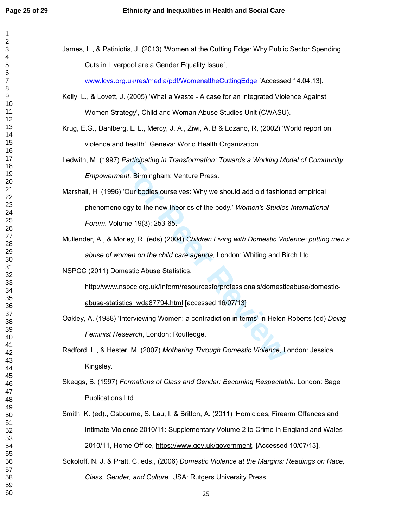$\mathbf{1}$  $\overline{2}$ 3  $\overline{\mathbf{4}}$  $\overline{5}$  $\,6$  $\overline{\mathbf{7}}$  $\bf 8$  $\boldsymbol{9}$ 

| James, L., & Patiniotis, J. (2013) 'Women at the Cutting Edge: Why Public Sector Spending      |
|------------------------------------------------------------------------------------------------|
| Cuts in Liverpool are a Gender Equality Issue',                                                |
| www.lcvs.org.uk/res/media/pdf/WomenattheCuttingEdge [Accessed 14.04.13].                       |
| Kelly, L., & Lovett, J. (2005) 'What a Waste - A case for an integrated Violence Against       |
| Women Strategy', Child and Woman Abuse Studies Unit (CWASU).                                   |
| Krug, E.G., Dahlberg, L. L., Mercy, J. A., Ziwi, A. B & Lozano, R, (2002) 'World report on     |
| violence and health'. Geneva: World Health Organization.                                       |
| Ledwith, M. (1997) Participating in Transformation: Towards a Working Model of Community       |
| Empowerment. Birmingham: Venture Press.                                                        |
| Marshall, H. (1996) 'Our bodies ourselves: Why we should add old fashioned empirical           |
| phenomenology to the new theories of the body.' Women's Studies International                  |
| Forum. Volume 19(3): 253-65.                                                                   |
| Mullender, A., & Morley, R. (eds) (2004) Children Living with Domestic Violence: putting men's |
| abuse of women on the child care agenda, London: Whiting and Birch Ltd.                        |
| NSPCC (2011) Domestic Abuse Statistics,                                                        |
| http://www.nspcc.org.uk/Inform/resourcesforprofessionals/domesticabuse/domestic-               |
| abuse-statistics wda87794.html [accessed 16/07/13]                                             |
| Oakley, A. (1988) 'Interviewing Women: a contradiction in terms' in Helen Roberts (ed) Doing   |
| Feminist Research, London: Routledge.                                                          |
| Radford, L., & Hester, M. (2007) Mothering Through Domestic Violence, London: Jessica          |
| Kingsley.                                                                                      |
| Skeggs, B. (1997) Formations of Class and Gender: Becoming Respectable. London: Sage           |
| Publications Ltd.                                                                              |
| Smith, K. (ed)., Osbourne, S. Lau, I. & Britton, A. (2011) 'Homicides, Firearm Offences and    |
| Intimate Violence 2010/11: Supplementary Volume 2 to Crime in England and Wales                |
| 2010/11, Home Office, https://www.gov.uk/government, [Accessed 10/07/13].                      |
| Sokoloff, N. J. & Pratt, C. eds., (2006) Domestic Violence at the Margins: Readings on Race,   |
| Class, Gender, and Culture. USA: Rutgers University Press.                                     |
|                                                                                                |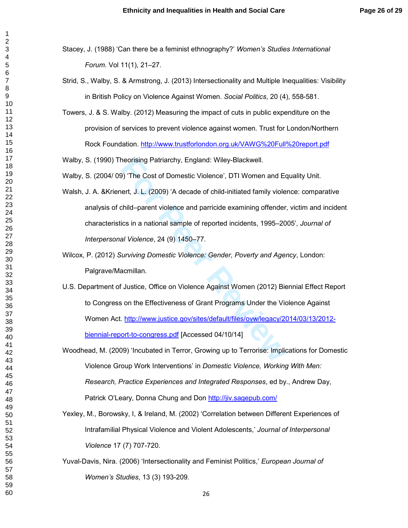- Stacey, J. (1988) 'Can there be a feminist ethnography?' *Women's Studies International Forum*. Vol 11(1), 21–27.
- Strid, S., Walby, S. & Armstrong, J. (2013) Intersectionality and Multiple Inequalities: Visibility in British Policy on Violence Against Women. *Social Politics*, 20 (4), 558-581.
- Towers, J. & S. Walby. (2012) Measuring the impact of cuts in public expenditure on the provision of services to prevent violence against women. Trust for London/Northern Rock Foundation. http://www.trustforlondon.org.uk/VAWG%20Full%20report.pdf
- Walby, S. (1990) Theorising Patriarchy, England: Wiley-Blackwell.

Walby, S. (2004/ 09) 'The Cost of Domestic Violence', DTI Women and Equality Unit.

- heorising Patriarchy, England: Wiley-Blackwell.<br> **For Peer Convention** Convertict Violence', DTI Women and Educt, J. L. (2009) 'A decade of child-initiated family viole<br>
child–parent violence and particide examining offend Walsh, J. A. &Krienert, J. L. (2009) 'A decade of child-initiated family violence: comparative analysis of child–parent violence and parricide examining offender, victim and incident characteristics in a national sample of reported incidents, 1995–2005', *Journal of Interpersonal Violence*, 24 (9) 1450–77.
- Wilcox, P. (2012) *Surviving Domestic Violence: Gender, Poverty and Agency*, London: Palgrave/Macmillan.
- U.S. Department of Justice, Office on Violence Against Women (2012) Biennial Effect Report to Congress on the Effectiveness of Grant Programs Under the Violence Against Women Act. http://www.justice.gov/sites/default/files/ovw/legacy/2014/03/13/2012 biennial-report-to-congress.pdf [Accessed 04/10/14]
- Woodhead, M. (2009) 'Incubated in Terror, Growing up to Terrorise: Implications for Domestic Violence Group Work Interventions' in *Domestic Violence, Working With Men: Research, Practice Experiences and Integrated Responses*, ed by., Andrew Day, Patrick O'Leary, Donna Chung and Don http://jiv.sagepub.com/
- Yexley, M., Borowsky, I, & Ireland, M. (2002) 'Correlation between Different Experiences of Intrafamilial Physical Violence and Violent Adolescents,' *Journal of Interpersonal Violence* 17 (7) 707-720.
- Yuval-Davis, Nira. (2006) 'Intersectionality and Feminist Politics,' *European Journal of Women's Studies*, 13 (3) 193-209.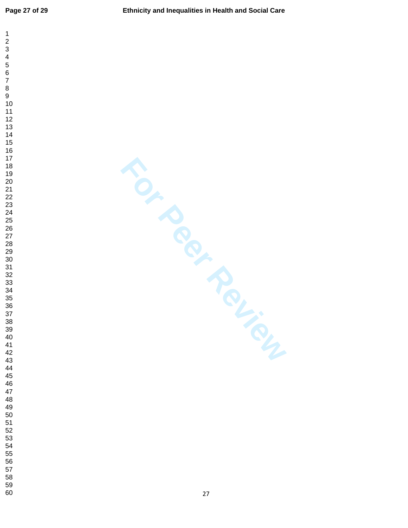$\mathbf 1$  $\overline{2}$  $\overline{3}$  $\overline{\mathbf{4}}$  $\overline{7}$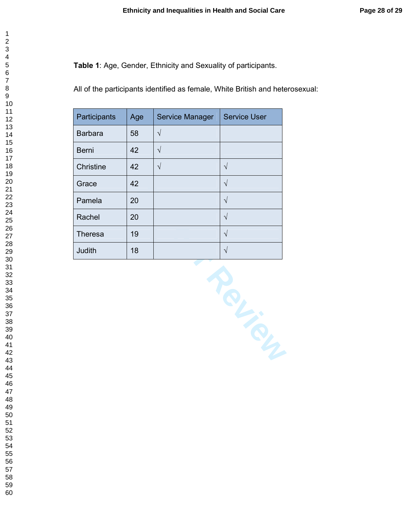**Table 1**: Age, Gender, Ethnicity and Sexuality of participants.

All of the participants identified as female, White British and heterosexual:

| Participants   | Age | Service Manager | <b>Service User</b> |
|----------------|-----|-----------------|---------------------|
| <b>Barbara</b> | 58  | $\sqrt{}$       |                     |
| <b>Berni</b>   | 42  | $\sqrt{}$       |                     |
| Christine      | 42  | $\sqrt{}$       | $\sqrt{}$           |
| Grace          | 42  |                 | $\sqrt{}$           |
| Pamela         | 20  |                 | $\sqrt{}$           |
| Rachel         | 20  |                 | $\sqrt{}$           |
| <b>Theresa</b> | 19  |                 | $\sqrt{}$           |
| Judith         | 18  |                 | $\sqrt{}$           |
|                |     |                 | 2                   |